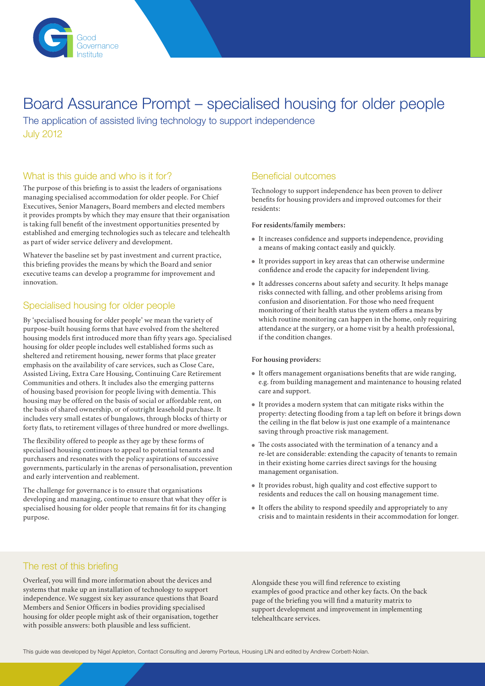

## Board Assurance Prompt – specialised housing for older people

The application of assisted living technology to support independence July 2012

## What is this guide and who is it for?

The purpose of this briefing is to assist the leaders of organisations managing specialised accommodation for older people. For Chief Executives, Senior Managers, Board members and elected members it provides prompts by which they may ensure that their organisation is taking full benefit of the investment opportunities presented by established and emerging technologies such as telecare and telehealth as part of wider service delivery and development.

Whatever the baseline set by past investment and current practice, this briefing provides the means by which the Board and senior executive teams can develop a programme for improvement and innovation.

## Specialised housing for older people

By 'specialised housing for older people' we mean the variety of purpose-built housing forms that have evolved from the sheltered housing models first introduced more than fifty years ago. Specialised housing for older people includes well established forms such as sheltered and retirement housing, newer forms that place greater emphasis on the availability of care services, such as Close Care, Assisted Living, Extra Care Housing, Continuing Care Retirement Communities and others. It includes also the emerging patterns of housing based provision for people living with dementia. This housing may be offered on the basis of social or affordable rent, on the basis of shared ownership, or of outright leasehold purchase. It includes very small estates of bungalows, through blocks of thirty or forty flats, to retirement villages of three hundred or more dwellings.

The flexibility offered to people as they age by these forms of specialised housing continues to appeal to potential tenants and purchasers and resonates with the policy aspirations of successive governments, particularly in the arenas of personalisation, prevention and early intervention and reablement.

The challenge for governance is to ensure that organisations developing and managing, continue to ensure that what they offer is specialised housing for older people that remains fit for its changing purpose.

## Beneficial outcomes

Technology to support independence has been proven to deliver benefits for housing providers and improved outcomes for their residents:

#### **For residents/family members:**

- $\bullet$  It increases confidence and supports independence, providing a means of making contact easily and quickly.
- It provides support in key areas that can otherwise undermine confidence and erode the capacity for independent living.
- It addresses concerns about safety and security. It helps manage risks connected with falling, and other problems arising from confusion and disorientation. For those who need frequent monitoring of their health status the system offers a means by which routine monitoring can happen in the home, only requiring attendance at the surgery, or a home visit by a health professional, if the condition changes.

#### **For housing providers:**

- $\bullet$  It offers management organisations benefits that are wide ranging, e.g. from building management and maintenance to housing related care and support.
- <sup>l</sup> It provides a modern system that can mitigate risks within the property: detecting flooding from a tap left on before it brings down the ceiling in the flat below is just one example of a maintenance saving through proactive risk management.
- The costs associated with the termination of a tenancy and a re-let are considerable: extending the capacity of tenants to remain in their existing home carries direct savings for the housing management organisation.
- It provides robust, high quality and cost effective support to residents and reduces the call on housing management time.
- $\bullet$  It offers the ability to respond speedily and appropriately to any crisis and to maintain residents in their accommodation for longer.

## The rest of this briefing

Overleaf, you will find more information about the devices and systems that make up an installation of technology to support independence. We suggest six key assurance questions that Board Members and Senior Officers in bodies providing specialised housing for older people might ask of their organisation, together with possible answers: both plausible and less sufficient.

Alongside these you will find reference to existing examples of good practice and other key facts. On the back page of the briefing you will find a maturity matrix to support development and improvement in implementing telehealthcare services.

This guide was developed by Nigel Appleton, Contact Consulting and Jeremy Porteus, Housing LIN and edited by Andrew Corbett-Nolan.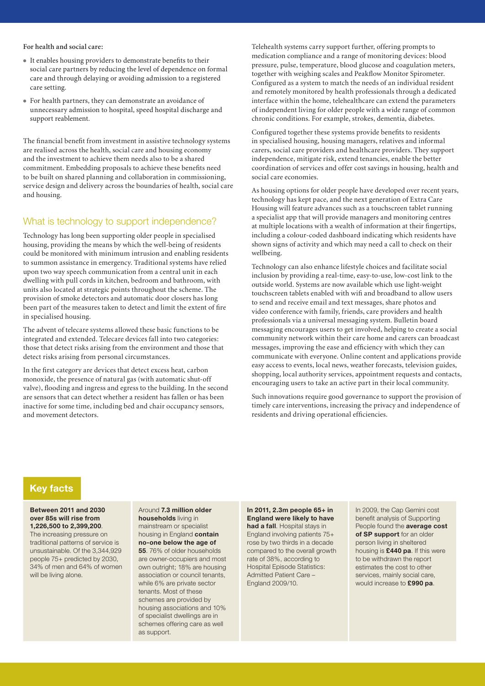#### **For health and social care:**

- <sup>l</sup> It enables housing providers to demonstrate benefits to their social care partners by reducing the level of dependence on formal care and through delaying or avoiding admission to a registered care setting.
- For health partners, they can demonstrate an avoidance of unnecessary admission to hospital, speed hospital discharge and support reablement.

The financial benefit from investment in assistive technology systems are realised across the health, social care and housing economy and the investment to achieve them needs also to be a shared commitment. Embedding proposals to achieve these benefits need to be built on shared planning and collaboration in commissioning, service design and delivery across the boundaries of health, social care and housing.

#### What is technology to support independence?

Technology has long been supporting older people in specialised housing, providing the means by which the well-being of residents could be monitored with minimum intrusion and enabling residents to summon assistance in emergency. Traditional systems have relied upon two way speech communication from a central unit in each dwelling with pull cords in kitchen, bedroom and bathroom, with units also located at strategic points throughout the scheme. The provision of smoke detectors and automatic door closers has long been part of the measures taken to detect and limit the extent of fire in specialised housing.

The advent of telecare systems allowed these basic functions to be integrated and extended. Telecare devices fall into two categories: those that detect risks arising from the environment and those that detect risks arising from personal circumstances.

In the first category are devices that detect excess heat, carbon monoxide, the presence of natural gas (with automatic shut-off valve), flooding and ingress and egress to the building. In the second are sensors that can detect whether a resident has fallen or has been inactive for some time, including bed and chair occupancy sensors, and movement detectors.

Telehealth systems carry support further, offering prompts to medication compliance and a range of monitoring devices: blood pressure, pulse, temperature, blood glucose and coagulation meters, together with weighing scales and Peakflow Monitor Spirometer. Configured as a system to match the needs of an individual resident and remotely monitored by health professionals through a dedicated interface within the home, telehealthcare can extend the parameters of independent living for older people with a wide range of common chronic conditions. For example, strokes, dementia, diabetes.

Configured together these systems provide benefits to residents in specialised housing, housing managers, relatives and informal carers, social care providers and healthcare providers. They support independence, mitigate risk, extend tenancies, enable the better coordination of services and offer cost savings in housing, health and social care economies.

As housing options for older people have developed over recent years, technology has kept pace, and the next generation of Extra Care Housing will feature advances such as a touchscreen tablet running a specialist app that will provide managers and monitoring centres at multiple locations with a wealth of information at their fingertips, including a colour-coded dashboard indicating which residents have shown signs of activity and which may need a call to check on their wellbeing.

Technology can also enhance lifestyle choices and facilitate social inclusion by providing a real-time, easy-to-use, low-cost link to the outside world. Systems are now available which use light-weight touchscreen tablets enabled with wifi and broadband to allow users to send and receive email and text messages, share photos and video conference with family, friends, care providers and health professionals via a universal messaging system. Bulletin board messaging encourages users to get involved, helping to create a social community network within their care home and carers can broadcast messages, improving the ease and efficiency with which they can communicate with everyone. Online content and applications provide easy access to events, local news, weather forecasts, television guides, shopping, local authority services, appointment requests and contacts, encouraging users to take an active part in their local community.

Such innovations require good governance to support the provision of timely care interventions, increasing the privacy and independence of residents and driving operational efficiencies.

### **Key facts**

#### **Between 2011 and 2030 over 85s will rise from 1,226,500 to 2,399,200**.

The increasing pressure on traditional patterns of service is unsustainable. Of the 3,344,929 people 75+ predicted by 2030, 34% of men and 64% of women will be living alone.

Around **7.3 million older households** living in mainstream or specialist housing in England **contain no-one below the age of 55**. 76% of older households are owner-occupiers and most own outright; 18% are housing association or council tenants, while 6% are private sector tenants. Most of these schemes are provided by housing associations and 10% of specialist dwellings are in schemes offering care as well as support.

**In 2011, 2.3m people 65+ in England were likely to have had a fall.** Hospital stays in England involving patients 75+ rose by two thirds in a decade compared to the overall growth rate of 38%, according to Hospital Episode Statistics: Admitted Patient Care – England 2009/10.

In 2009, the Cap Gemini cost benefit analysis of Supporting People found the **average cost of SP support** for an older person living in sheltered housing is **£440 pa**. If this were to be withdrawn the report estimates the cost to other services, mainly social care. would increase to **£990 pa**.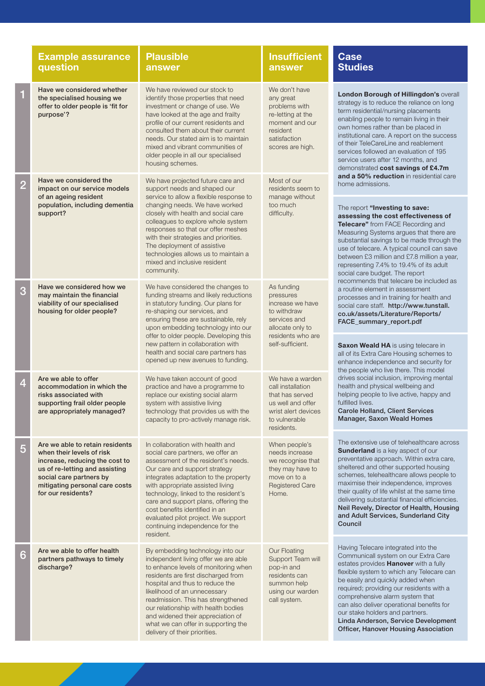|                | <b>Example assurance</b><br>question                                                                                                                                                                                | <b>Plausible</b><br>answer                                                                                                                                                                                                                                                                                                                                                                                                          | <b>Insufficient</b><br>answer                                                                                                       | <b>Case</b><br><b>Studies</b>                                                                                                                                                                                                                                                                                                                                                                                                                                                              |  |
|----------------|---------------------------------------------------------------------------------------------------------------------------------------------------------------------------------------------------------------------|-------------------------------------------------------------------------------------------------------------------------------------------------------------------------------------------------------------------------------------------------------------------------------------------------------------------------------------------------------------------------------------------------------------------------------------|-------------------------------------------------------------------------------------------------------------------------------------|--------------------------------------------------------------------------------------------------------------------------------------------------------------------------------------------------------------------------------------------------------------------------------------------------------------------------------------------------------------------------------------------------------------------------------------------------------------------------------------------|--|
|                | Have we considered whether<br>the specialised housing we<br>offer to older people is 'fit for<br>purpose'?                                                                                                          | We have reviewed our stock to<br>identify those properties that need<br>investment or change of use. We<br>have looked at the age and frailty<br>profile of our current residents and<br>consulted them about their current<br>needs. Our stated aim is to maintain<br>mixed and vibrant communities of<br>older people in all our specialised<br>housing schemes.                                                                  | We don't have<br>any great<br>problems with<br>re-letting at the<br>moment and our<br>resident<br>satisfaction<br>scores are high.  | London Borough of Hillingdon's overall<br>strategy is to reduce the reliance on long<br>term residential/nursing placements<br>enabling people to remain living in their<br>own homes rather than be placed in<br>institutional care. A report on the success<br>of their TeleCareLine and reablement<br>services followed an evaluation of 195<br>service users after 12 months, and<br>demonstrated cost savings of £4.7m<br>and a 50% reduction in residential care<br>home admissions. |  |
| $\overline{2}$ | Have we considered the<br>impact on our service models<br>of an ageing resident                                                                                                                                     | We have projected future care and<br>support needs and shaped our<br>service to allow a flexible response to                                                                                                                                                                                                                                                                                                                        | Most of our<br>residents seem to<br>manage without                                                                                  |                                                                                                                                                                                                                                                                                                                                                                                                                                                                                            |  |
|                | population, including dementia<br>support?                                                                                                                                                                          | changing needs. We have worked<br>closely with health and social care<br>colleagues to explore whole system<br>responses so that our offer meshes<br>with their strategies and priorities.<br>The deployment of assistive<br>technologies allows us to maintain a<br>mixed and inclusive resident<br>community.                                                                                                                     | too much<br>difficulty.                                                                                                             | The report "Investing to save:<br>assessing the cost effectiveness of<br>Telecare" from FACE Recording and<br>Measuring Systems argues that there are<br>substantial savings to be made through the<br>use of telecare. A typical council can save<br>between £3 million and £7.8 million a year,<br>representing 7.4% to 19.4% of its adult<br>social care budget. The report                                                                                                             |  |
| 3              | Have we considered how we<br>may maintain the financial<br>viability of our specialised<br>housing for older people?                                                                                                | We have considered the changes to<br>funding streams and likely reductions<br>in statutory funding. Our plans for<br>re-shaping our services, and<br>ensuring these are sustainable, rely<br>upon embedding technology into our                                                                                                                                                                                                     | As funding<br>pressures<br>increase we have<br>to withdraw<br>services and<br>allocate only to                                      | recommends that telecare be included as<br>a routine element in assessment<br>processes and in training for health and<br>social care staff. http://www.tunstall.<br>co.uk/assets/Literature/Reports/<br>FACE_summary_report.pdf                                                                                                                                                                                                                                                           |  |
|                |                                                                                                                                                                                                                     | offer to older people. Developing this<br>new pattern in collaboration with<br>health and social care partners has<br>opened up new avenues to funding.                                                                                                                                                                                                                                                                             | residents who are<br>self-sufficient.                                                                                               | <b>Saxon Weald HA</b> is using telecare in<br>all of its Extra Care Housing schemes to<br>enhance independence and security for<br>the people who live there. This model                                                                                                                                                                                                                                                                                                                   |  |
| 4              | Are we able to offer<br>accommodation in which the<br>risks associated with<br>supporting frail older people<br>are appropriately managed?                                                                          | We have taken account of good<br>practice and have a programme to<br>replace our existing social alarm<br>system with assistive living<br>technology that provides us with the<br>capacity to pro-actively manage risk.                                                                                                                                                                                                             | We have a warden<br>call installation<br>that has served<br>us well and offer<br>wrist alert devices<br>to vulnerable<br>residents. | drives social inclusion, improving mental<br>health and physical wellbeing and<br>helping people to live active, happy and<br>fulfilled lives.<br><b>Carole Holland, Client Services</b><br><b>Manager, Saxon Weald Homes</b>                                                                                                                                                                                                                                                              |  |
| 5              | Are we able to retain residents<br>when their levels of risk<br>increase, reducing the cost to<br>us of re-letting and assisting<br>social care partners by<br>mitigating personal care costs<br>for our residents? | In collaboration with health and<br>social care partners, we offer an<br>assessment of the resident's needs.<br>Our care and support strategy<br>integrates adaptation to the property<br>with appropriate assisted living<br>technology, linked to the resident's<br>care and support plans, offering the<br>cost benefits identified in an<br>evaluated pilot project. We support<br>continuing independence for the<br>resident. | When people's<br>needs increase<br>we recognise that<br>they may have to<br>move on to a<br><b>Registered Care</b><br>Home.         | The extensive use of telehealthcare across<br>Sunderland is a key aspect of our<br>preventative approach. Within extra care,<br>sheltered and other supported housing<br>schemes, telehealthcare allows people to<br>maximise their independence, improves<br>their quality of life whilst at the same time<br>delivering substantial financial efficiencies.<br>Neil Revely, Director of Health, Housing<br>and Adult Services, Sunderland City<br>Council                                |  |
| 6              | Are we able to offer health<br>partners pathways to timely<br>discharge?                                                                                                                                            | By embedding technology into our<br>independent living offer we are able<br>to enhance levels of monitoring when<br>residents are first discharged from<br>hospital and thus to reduce the<br>likelihood of an unnecessary<br>readmission. This has strengthened<br>our relationship with health bodies<br>and widened their appreciation of<br>what we can offer in supporting the<br>delivery of their priorities.                | Our Floating<br>Support Team will<br>pop-in and<br>residents can<br>summon help<br>using our warden<br>call system.                 | Having Telecare integrated into the<br>Communicall system on our Extra Care<br>estates provides Hanover with a fully<br>flexible system to which any Telecare can<br>be easily and quickly added when<br>required; providing our residents with a<br>comprehensive alarm system that<br>can also deliver operational benefits for<br>our stake holders and partners.<br>Linda Anderson, Service Development<br>Officer, Hanover Housing Association                                        |  |